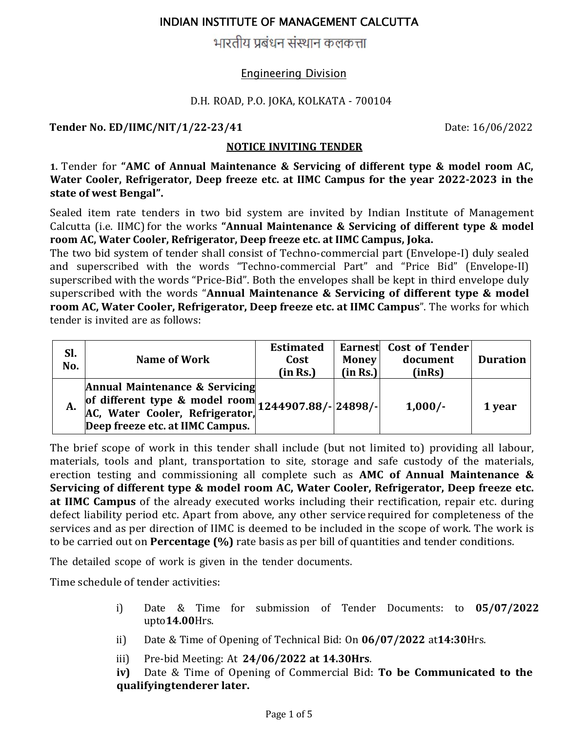भारतीय प्रबंधन संस्थान कलकत्ता

#### Engineering Division

#### D.H. ROAD, P.O. JOKA, KOLKATA - 700104

**Tender No. ED/IIMC/NIT/1/22‐23/41** Date: 16/06/2022

#### **NOTICE INVITING TENDER**

**1.** Tender for **"AMC of Annual Maintenance & Servicing of different type & model room AC, Water Cooler, Refrigerator, Deep freeze etc. at IIMC Campus for the year 2022‐2023 in the state of west Bengal".**

Sealed item rate tenders in two bid system are invited by Indian Institute of Management Calcutta (i.e. IIMC) for the works **"Annual Maintenance & Servicing of different type & model room AC, Water Cooler, Refrigerator, Deep freeze etc. at IIMC Campus, Joka.**

The two bid system of tender shall consist of Techno-commercial part (Envelope-I) duly sealed and superscribed with the words "Techno-commercial Part" and "Price Bid" (Envelope-II) superscribed with the words "Price-Bid". Both the envelopes shall be kept in third envelope duly superscribed with the words "**Annual Maintenance & Servicing of different type & model room AC, Water Cooler, Refrigerator, Deep freeze etc. at IIMC Campus**". The works for which tender is invited are as follows:

| Sl.<br>No. | Name of Work                                                                                                                               | <b>Estimated</b><br>Cost<br>(in Rs.) | <b>Money</b><br>(in Rs.) | Earnest Cost of Tender<br>document<br>(inRs) | <b>Duration</b> |
|------------|--------------------------------------------------------------------------------------------------------------------------------------------|--------------------------------------|--------------------------|----------------------------------------------|-----------------|
| А.         | <b>Annual Maintenance &amp; Servicing</b><br>of different type & model room $1244907.88/$ - $24898/$ -<br>Deep freeze etc. at IIMC Campus. |                                      |                          | $1,000/-$                                    | 1 year          |

The brief scope of work in this tender shall include (but not limited to) providing all labour, materials, tools and plant, transportation to site, storage and safe custody of the materials, erection testing and commissioning all complete such as **AMC of Annual Maintenance & Servicing of different type & model room AC, Water Cooler, Refrigerator, Deep freeze etc. at IIMC Campus** of the already executed works including their rectification, repair etc. during defect liability period etc. Apart from above, any other service required for completeness of the services and as per direction of IIMC is deemed to be included in the scope of work. The work is to be carried out on **Percentage (%)** rate basis as per bill of quantities and tender conditions.

The detailed scope of work is given in the tender documents.

Time schedule of tender activities:

- i) Date & Time for submission of Tender Documents: to **05/07/2022** upto**14.00**Hrs.
- ii) Date & Time of Opening of Technical Bid: On **06/07/2022** at**14:30**Hrs.
- iii) Pre-bid Meeting: At **24/06/2022 at 14.30Hrs**.

**iv)** Date & Time of Opening of Commercial Bid: **To be Communicated to the qualifyingtenderer later.**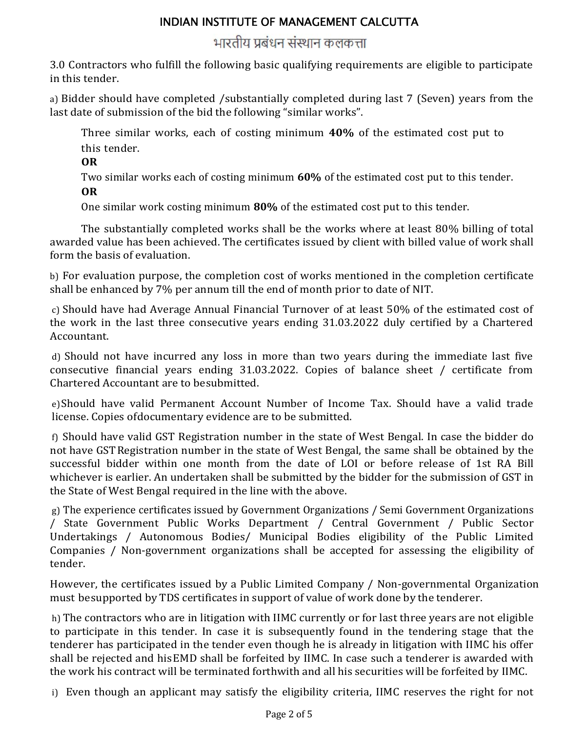## भारतीय प्रबंधन संस्थान कलकत्ता

3.0 Contractors who fulfill the following basic qualifying requirements are eligible to participate in this tender.

a) Bidder should have completed /substantially completed during last 7 (Seven) years from the last date of submission of the bid the following "similar works".

Three similar works, each of costing minimum **40%** of the estimated cost put to this tender.

**OR**

Two similar works each of costing minimum **60%** of the estimated cost put to this tender.

**OR**

One similar work costing minimum **80%** of the estimated cost put to this tender.

The substantially completed works shall be the works where at least 80% billing of total awarded value has been achieved. The certificates issued by client with billed value of work shall form the basis of evaluation.

b) For evaluation purpose, the completion cost of works mentioned in the completion certificate shall be enhanced by 7% per annum till the end of month prior to date of NIT.

c) Should have had Average Annual Financial Turnover of at least 50% of the estimated cost of the work in the last three consecutive years ending 31.03.2022 duly certified by a Chartered Accountant.

d) Should not have incurred any loss in more than two years during the immediate last five consecutive financial years ending 31.03.2022. Copies of balance sheet / certificate from Chartered Accountant are to be submitted.

e)Should have valid Permanent Account Number of Income Tax. Should have a valid trade license. Copies of documentary evidence are to be submitted.

f) Should have valid GST Registration number in the state of West Bengal. In case the bidder do not have GST Registration number in the state of West Bengal, the same shall be obtained by the successful bidder within one month from the date of LOI or before release of 1st RA Bill whichever is earlier. An undertaken shall be submitted by the bidder for the submission of GST in the State of West Bengal required in the line with the above.

g) The experience certificates issued by Government Organizations / Semi Government Organizations / State Government Public Works Department / Central Government / Public Sector Undertakings / Autonomous Bodies/ Municipal Bodies eligibility of the Public Limited Companies / Non-government organizations shall be accepted for assessing the eligibility of tender.

However, the certificates issued by a Public Limited Company / Non-governmental Organization must be supported by TDS certificates in support of value of work done by the tenderer.

h) The contractors who are in litigation with IIMC currently or for last three years are not eligible to participate in this tender. In case it is subsequently found in the tendering stage that the tenderer has participated in the tender even though he is already in litigation with IIMC his offer shall be rejected and his EMD shall be forfeited by IIMC. In case such a tenderer is awarded with the work his contract will be terminated forthwith and all his securities will be forfeited by IIMC.

i) Even though an applicant may satisfy the eligibility criteria, IIMC reserves the right for not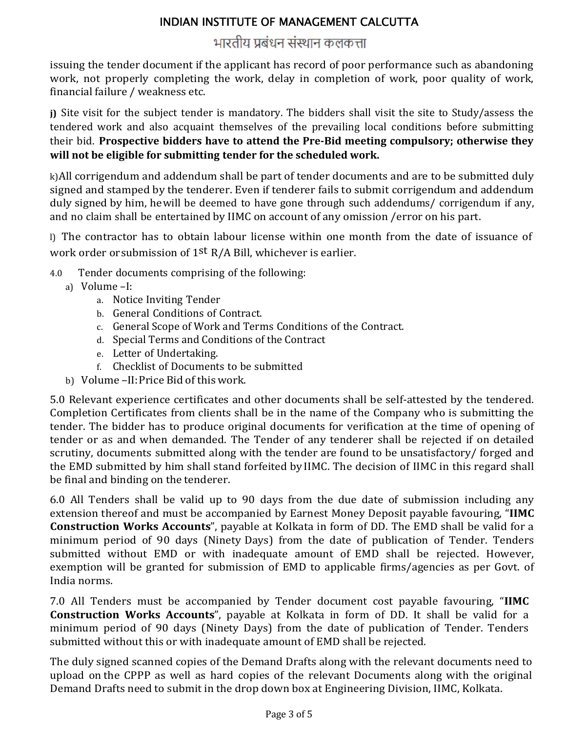# भारतीय प्रबंधन संस्थान कलकत्ता

issuing the tender document if the applicant has record of poor performance such as abandoning work, not properly completing the work, delay in completion of work, poor quality of work, financial failure / weakness etc.

**j)** Site visit for the subject tender is mandatory. The bidders shall visit the site to Study/assess the tendered work and also acquaint themselves of the prevailing local conditions before submitting their bid. **Prospective bidders have to attend the Pre‐Bid meeting compulsory; otherwise they will not be eligible for submitting tender for the scheduled work.** 

k)All corrigendum and addendum shall be part of tender documents and are to be submitted duly signed and stamped by the tenderer. Even if tenderer fails to submit corrigendum and addendum duly signed by him, he will be deemed to have gone through such addendums/ corrigendum if any, and no claim shall be entertained by IIMC on account of any omission /error on his part.

l) The contractor has to obtain labour license within one month from the date of issuance of work order or submission of 1st R/A Bill, whichever is earlier.

- 4.0 Tender documents comprising of the following:
	- a) Volume –I:
		- a. Notice Inviting Tender
		- b. General Conditions of Contract.
		- c. General Scope of Work and Terms Conditions of the Contract.
		- d. Special Terms and Conditions of the Contract
		- e. Letter of Undertaking.
		- f. Checklist of Documents to be submitted
	- b) Volume –II: Price Bid of this work.

5.0 Relevant experience certificates and other documents shall be self-attested by the tendered. Completion Certificates from clients shall be in the name of the Company who is submitting the tender. The bidder has to produce original documents for verification at the time of opening of tender or as and when demanded. The Tender of any tenderer shall be rejected if on detailed scrutiny, documents submitted along with the tender are found to be unsatisfactory/ forged and the EMD submitted by him shall stand forfeited by IIMC. The decision of IIMC in this regard shall be final and binding on the tenderer.

6.0 All Tenders shall be valid up to 90 days from the due date of submission including any extension thereof and must be accompanied by Earnest Money Deposit payable favouring, "**IIMC Construction Works Accounts**", payable at Kolkata in form of DD. The EMD shall be valid for a minimum period of 90 days (Ninety Days) from the date of publication of Tender. Tenders submitted without EMD or with inadequate amount of EMD shall be rejected. However, exemption will be granted for submission of EMD to applicable firms/agencies as per Govt. of India norms.

7.0 All Tenders must be accompanied by Tender document cost payable favouring, "**IIMC Construction Works Accounts**", payable at Kolkata in form of DD. It shall be valid for a minimum period of 90 days (Ninety Days) from the date of publication of Tender. Tenders submitted without this or with inadequate amount of EMD shall be rejected.

The duly signed scanned copies of the Demand Drafts along with the relevant documents need to upload on the CPPP as well as hard copies of the relevant Documents along with the original Demand Drafts need to submit in the drop down box at Engineering Division, IIMC, Kolkata.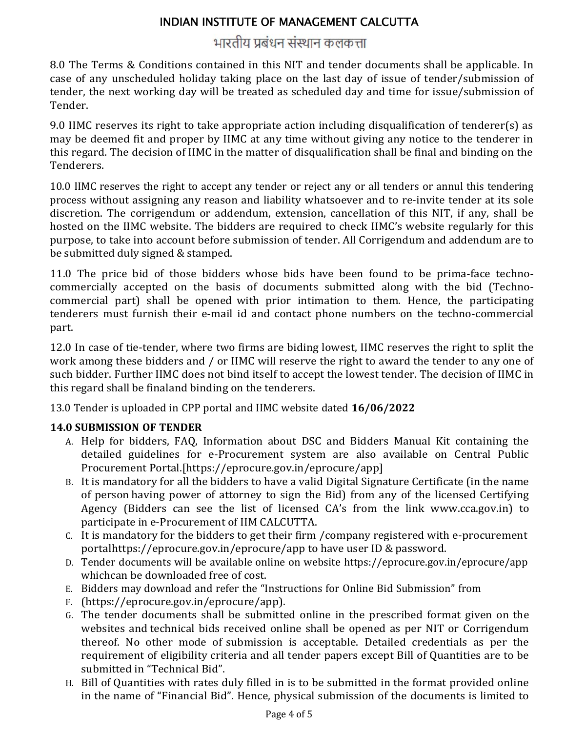# भारतीय प्रबंधन संस्थान कलकत्ता

8.0 The Terms & Conditions contained in this NIT and tender documents shall be applicable. In case of any unscheduled holiday taking place on the last day of issue of tender/submission of tender, the next working day will be treated as scheduled day and time for issue/submission of Tender.

9.0 IIMC reserves its right to take appropriate action including disqualification of tenderer(s) as may be deemed fit and proper by IIMC at any time without giving any notice to the tenderer in this regard. The decision of IIMC in the matter of disqualification shall be final and binding on the Tenderers.

10.0 IIMC reserves the right to accept any tender or reject any or all tenders or annul this tendering process without assigning any reason and liability whatsoever and to re-invite tender at its sole discretion. The corrigendum or addendum, extension, cancellation of this NIT, if any, shall be hosted on the IIMC website. The bidders are required to check IIMC's website regularly for this purpose, to take into account before submission of tender. All Corrigendum and addendum are to be submitted duly signed & stamped.

11.0 The price bid of those bidders whose bids have been found to be prima-face technocommercially accepted on the basis of documents submitted along with the bid (Technocommercial part) shall be opened with prior intimation to them. Hence, the participating tenderers must furnish their e-mail id and contact phone numbers on the techno-commercial part.

12.0 In case of tie-tender, where two firms are biding lowest, IIMC reserves the right to split the work among these bidders and / or IIMC will reserve the right to award the tender to any one of such bidder. Further IIMC does not bind itself to accept the lowest tender. The decision of IIMC in this regard shall be final and binding on the tenderers.

13.0 Tender is uploaded in CPP portal and IIMC website dated **16/06/2022**

### **14.0 SUBMISSION OF TENDER**

- A. Help for bidders, FAQ, Information about DSC and Bidders Manual Kit containing the detailed guidelines for e-Procurement system are also available on Central Public Procurement Portal.[https://eprocure.gov.in/eprocure/app]
- B. It is mandatory for all the bidders to have a valid Digital Signature Certificate (in the name of person having power of attorney to sign the Bid) from any of the licensed Certifying Agency (Bidders can see the list of licensed CA's from the link www.cca.gov.in) to participate in e-Procurement of IIM CALCUTTA.
- C. It is mandatory for the bidders to get their firm /company registered with e-procurement portal https://eprocure.gov.in/eprocure/app to have user ID & password.
- D. Tender documents will be available online on website https://eprocure.gov.in/eprocure/app which can be downloaded free of cost.
- E. Bidders may download and refer the "Instructions for Online Bid Submission" from
- F. (https://eprocure.gov.in/eprocure/app).
- G. The tender documents shall be submitted online in the prescribed format given on the websites and technical bids received online shall be opened as per NIT or Corrigendum thereof. No other mode of submission is acceptable. Detailed credentials as per the requirement of eligibility criteria and all tender papers except Bill of Quantities are to be submitted in "Technical Bid".
- H. Bill of Quantities with rates duly filled in is to be submitted in the format provided online in the name of "Financial Bid". Hence, physical submission of the documents is limited to